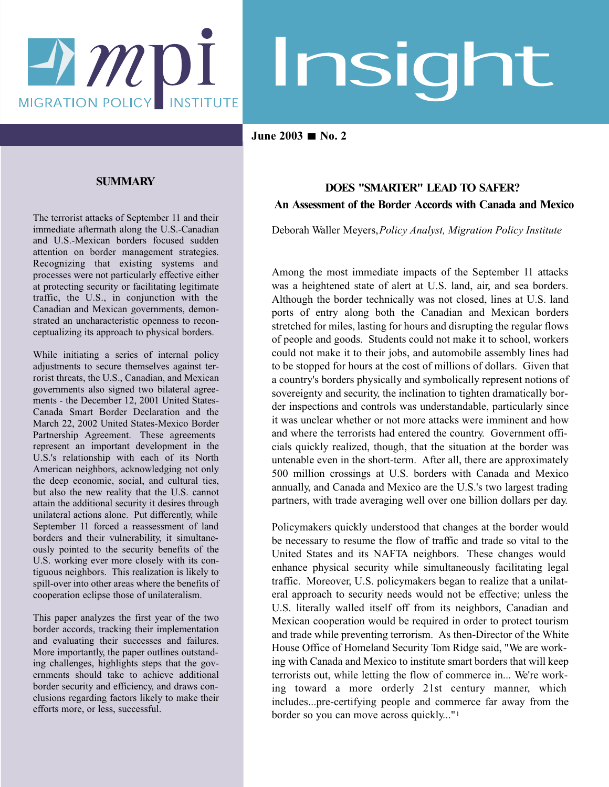### *Ampi* Insight MIGRATION POLICY INSTITUTE

**June 2003**  $\blacksquare$  No. 2

### **SUMMARY**

The terrorist attacks of September 11 and their immediate aftermath along the U.S.-Canadian and U.S.-Mexican borders focused sudden attention on border management strategies. Recognizing that existing systems and processes were not particularly effective either at protecting security or facilitating legitimate traffic, the U.S., in conjunction with the Canadian and Mexican governments, demonstrated an uncharacteristic openness to reconceptualizing its approach to physical borders.

While initiating a series of internal policy adjustments to secure themselves against terrorist threats, the U.S., Canadian, and Mexican governments also signed two bilateral agreements - the December 12, 2001 United States-Canada Smart Border Declaration and the March 22, 2002 United States-Mexico Border Partnership Agreement. These agreements represent an important development in the U.S.'s relationship with each of its North American neighbors, acknowledging not only the deep economic, social, and cultural ties, but also the new reality that the U.S. cannot attain the additional security it desires through unilateral actions alone. Put differently, while September 11 forced a reassessment of land borders and their vulnerability, it simultaneously pointed to the security benefits of the U.S. working ever more closely with its contiguous neighbors. This realization is likely to spill-over into other areas where the benefits of cooperation eclipse those of unilateralism.

This paper analyzes the first year of the two border accords, tracking their implementation and evaluating their successes and failures. More importantly, the paper outlines outstanding challenges, highlights steps that the governments should take to achieve additional border security and efficiency, and draws conclusions regarding factors likely to make their efforts more, or less, successful.

### **DOES "SMARTER" LEAD TO SAFER? An Assessment of the Border Accords with Canada and Mexico**

Deborah Waller Meyers,*Policy Analyst, Migration Policy Institute*

Among the most immediate impacts of the September 11 attacks was a heightened state of alert at U.S. land, air, and sea borders. Although the border technically was not closed, lines at U.S. land ports of entry along both the Canadian and Mexican borders stretched for miles, lasting for hours and disrupting the regular flows of people and goods. Students could not make it to school, workers could not make it to their jobs, and automobile assembly lines had to be stopped for hours at the cost of millions of dollars. Given that a country's borders physically and symbolically represent notions of sovereignty and security, the inclination to tighten dramatically border inspections and controls was understandable, particularly since it was unclear whether or not more attacks were imminent and how and where the terrorists had entered the country. Government officials quickly realized, though, that the situation at the border was untenable even in the short-term. After all, there are approximately 500 million crossings at U.S. borders with Canada and Mexico annually, and Canada and Mexico are the U.S.'s two largest trading partners, with trade averaging well over one billion dollars per day.

Policymakers quickly understood that changes at the border would be necessary to resume the flow of traffic and trade so vital to the United States and its NAFTA neighbors. These changes would enhance physical security while simultaneously facilitating legal traffic. Moreover, U.S. policymakers began to realize that a unilateral approach to security needs would not be effective; unless the U.S. literally walled itself off from its neighbors, Canadian and Mexican cooperation would be required in order to protect tourism and trade while preventing terrorism. As then-Director of the White House Office of Homeland Security Tom Ridge said, "We are working with Canada and Mexico to institute smart borders that will keep terrorists out, while letting the flow of commerce in... We're working toward a more orderly 21st century manner, which includes...pre-certifying people and commerce far away from the border so you can move across quickly..."1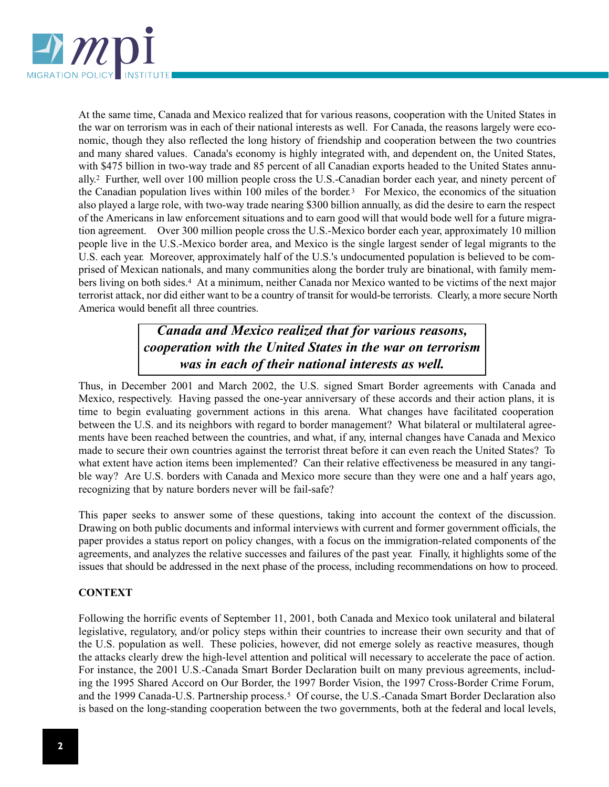

At the same time, Canada and Mexico realized that for various reasons, cooperation with the United States in the war on terrorism was in each of their national interests as well. For Canada, the reasons largely were economic, though they also reflected the long history of friendship and cooperation between the two countries and many shared values. Canada's economy is highly integrated with, and dependent on, the United States, with \$475 billion in two-way trade and 85 percent of all Canadian exports headed to the United States annually.2 Further, well over 100 million people cross the U.S.-Canadian border each year, and ninety percent of the Canadian population lives within 100 miles of the border.3 For Mexico, the economics of the situation also played a large role, with two-way trade nearing \$300 billion annually, as did the desire to earn the respect of the Americans in law enforcement situations and to earn good will that would bode well for a future migration agreement. Over 300 million people cross the U.S.-Mexico border each year, approximately 10 million people live in the U.S.-Mexico border area, and Mexico is the single largest sender of legal migrants to the U.S. each year. Moreover, approximately half of the U.S.'s undocumented population is believed to be comprised of Mexican nationals, and many communities along the border truly are binational, with family members living on both sides.4 At a minimum, neither Canada nor Mexico wanted to be victims of the next major terrorist attack, nor did either want to be a country of transit for would-be terrorists. Clearly, a more secure North America would benefit all three countries.

### *Canada and Mexico realized that for various reasons, cooperation with the United States in the war on terrorism was in each of their national interests as well.*

Thus, in December 2001 and March 2002, the U.S. signed Smart Border agreements with Canada and Mexico, respectively. Having passed the one-year anniversary of these accords and their action plans, it is time to begin evaluating government actions in this arena. What changes have facilitated cooperation between the U.S. and its neighbors with regard to border management? What bilateral or multilateral agreements have been reached between the countries, and what, if any, internal changes have Canada and Mexico made to secure their own countries against the terrorist threat before it can even reach the United States? To what extent have action items been implemented? Can their relative effectiveness be measured in any tangible way? Are U.S. borders with Canada and Mexico more secure than they were one and a half years ago, recognizing that by nature borders never will be fail-safe?

This paper seeks to answer some of these questions, taking into account the context of the discussion. Drawing on both public documents and informal interviews with current and former government officials, the paper provides a status report on policy changes, with a focus on the immigration-related components of the agreements, and analyzes the relative successes and failures of the past year. Finally, it highlights some of the issues that should be addressed in the next phase of the process, including recommendations on how to proceed.

### **CONTEXT**

Following the horrific events of September 11, 2001, both Canada and Mexico took unilateral and bilateral legislative, regulatory, and/or policy steps within their countries to increase their own security and that of the U.S. population as well. These policies, however, did not emerge solely as reactive measures, though the attacks clearly drew the high-level attention and political will necessary to accelerate the pace of action. For instance, the 2001 U.S.-Canada Smart Border Declaration built on many previous agreements, including the 1995 Shared Accord on Our Border, the 1997 Border Vision, the 1997 Cross-Border Crime Forum, and the 1999 Canada-U.S. Partnership process.5 Of course, the U.S.-Canada Smart Border Declaration also is based on the long-standing cooperation between the two governments, both at the federal and local levels,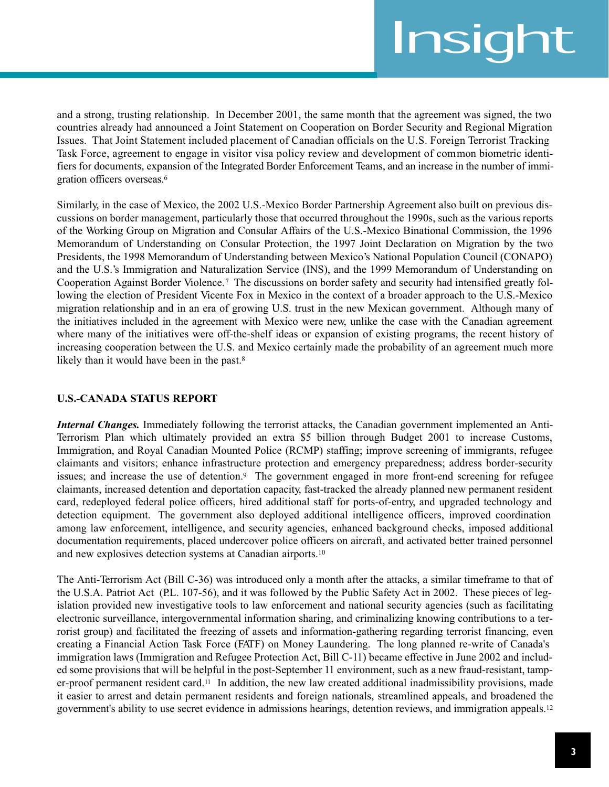and a strong, trusting relationship. In December 2001, the same month that the agreement was signed, the two countries already had announced a Joint Statement on Cooperation on Border Security and Regional Migration Issues. That Joint Statement included placement of Canadian officials on the U.S. Foreign Terrorist Tracking Task Force, agreement to engage in visitor visa policy review and development of common biometric identifiers for documents, expansion of the Integrated Border Enforcement Teams, and an increase in the number of immigration officers overseas.6

Similarly, in the case of Mexico, the 2002 U.S.-Mexico Border Partnership Agreement also built on previous discussions on border management, particularly those that occurred throughout the 1990s, such as the various reports of the Working Group on Migration and Consular Affairs of the U.S.-Mexico Binational Commission, the 1996 Memorandum of Understanding on Consular Protection, the 1997 Joint Declaration on Migration by the two Presidents, the 1998 Memorandum of Understanding between Mexico's National Population Council (CONAPO) and the U.S.'s Immigration and Naturalization Service (INS), and the 1999 Memorandum of Understanding on Cooperation Against Border Violence.7 The discussions on border safety and security had intensified greatly following the election of President Vicente Fox in Mexico in the context of a broader approach to the U.S.-Mexico migration relationship and in an era of growing U.S. trust in the new Mexican government. Although many of the initiatives included in the agreement with Mexico were new, unlike the case with the Canadian agreement where many of the initiatives were off-the-shelf ideas or expansion of existing programs, the recent history of increasing cooperation between the U.S. and Mexico certainly made the probability of an agreement much more likely than it would have been in the past.8

### **U.S.-CANADA STATUS REPORT**

*Internal Changes.* Immediately following the terrorist attacks, the Canadian government implemented an Anti-Terrorism Plan which ultimately provided an extra \$5 billion through Budget 2001 to increase Customs, Immigration, and Royal Canadian Mounted Police (RCMP) staffing; improve screening of immigrants, refugee claimants and visitors; enhance infrastructure protection and emergency preparedness; address border-security issues; and increase the use of detention.9 The government engaged in more front-end screening for refugee claimants, increased detention and deportation capacity, fast-tracked the already planned new permanent resident card, redeployed federal police officers, hired additional staff for ports-of-entry, and upgraded technology and detection equipment. The government also deployed additional intelligence officers, improved coordination among law enforcement, intelligence, and security agencies, enhanced background checks, imposed additional documentation requirements, placed undercover police officers on aircraft, and activated better trained personnel and new explosives detection systems at Canadian airports.10

The Anti-Terrorism Act (Bill C-36) was introduced only a month after the attacks, a similar timeframe to that of the U.S.A. Patriot Act (P.L. 107-56), and it was followed by the Public Safety Act in 2002. These pieces of legislation provided new investigative tools to law enforcement and national security agencies (such as facilitating electronic surveillance, intergovernmental information sharing, and criminalizing knowing contributions to a terrorist group) and facilitated the freezing of assets and information-gathering regarding terrorist financing, even creating a Financial Action Task Force (FATF) on Money Laundering. The long planned re-write of Canada's immigration laws (Immigration and Refugee Protection Act, Bill C-11) became effective in June 2002 and included some provisions that will be helpful in the post-September 11 environment, such as a new fraud-resistant, tamper-proof permanent resident card.<sup>11</sup> In addition, the new law created additional inadmissibility provisions, made it easier to arrest and detain permanent residents and foreign nationals, streamlined appeals, and broadened the government's ability to use secret evidence in admissions hearings, detention reviews, and immigration appeals.12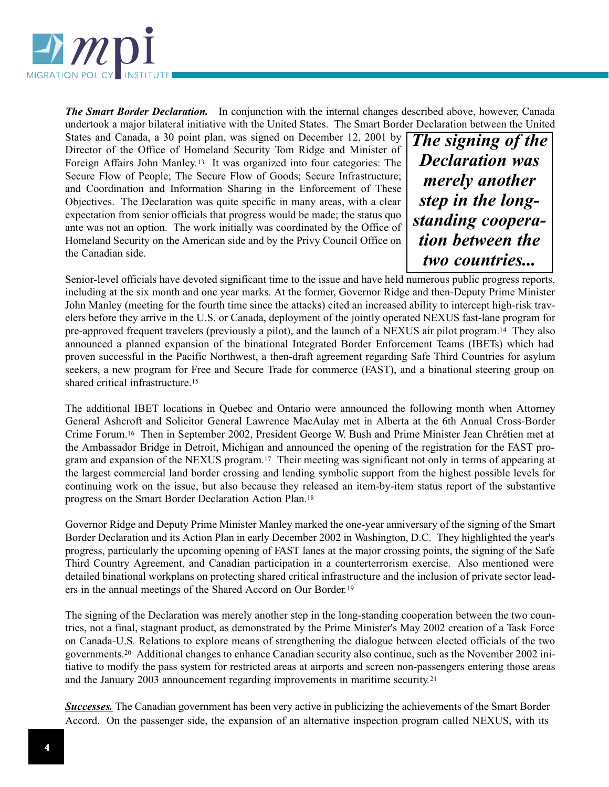

*The Smart Border Declaration.* In conjunction with the internal changes described above, however, Canada undertook a major bilateral initiative with the United States. The Smart Border Declaration between the United States and Canada, a 30 point plan, was signed on December 12, 2001 by Director of the Office of Homeland Security Tom Ridge and Minister of Foreign Affairs John Manley. <sup>13</sup> It was organized into four categories: The Secure Flow of People; The Secure Flow of Goods; Secure Infrastructure; and Coordination and Information Sharing in the Enforcement of These Objectives. The Declaration was quite specific in many areas, with a clear expectation from senior officials that progress would be made; the status quo ante was not an option. The work initially was coordinated by the Office of Homeland Security on the American side and by the Privy Council Office on the Canadian side. *The signing of the Declaration was merely another step in the longstanding cooperation between the two countries...*

Senior-level officials have devoted significant time to the issue and have held numerous public progress reports, including at the six month and one year marks. At the former, Governor Ridge and then-Deputy Prime Minister John Manley (meeting for the fourth time since the attacks) cited an increased ability to intercept high-risk travelers before they arrive in the U.S. or Canada, deployment of the jointly operated NEXUS fast-lane program for pre-approved frequent travelers (previously a pilot), and the launch of a NEXUS air pilot program.14 They also announced a planned expansion of the binational Integrated Border Enforcement Teams (IBETs) which had proven successful in the Pacific Northwest, a then-draft agreement regarding Safe Third Countries for asylum seekers, a new program for Free and Secure Trade for commerce (FAST), and a binational steering group on shared critical infrastructure.15

The additional IBET locations in Quebec and Ontario were announced the following month when Attorney General Ashcroft and Solicitor General Lawrence MacAulay met in Alberta at the 6th Annual Cross-Border Crime Forum.16 Then in September 2002, President George W. Bush and Prime Minister Jean Chrétien met at the Ambassador Bridge in Detroit, Michigan and announced the opening of the registration for the FAST program and expansion of the NEXUS program.17 Their meeting was significant not only in terms of appearing at the largest commercial land border crossing and lending symbolic support from the highest possible levels for continuing work on the issue, but also because they released an item-by-item status report of the substantive progress on the Smart Border Declaration Action Plan.18

Governor Ridge and Deputy Prime Minister Manley marked the one-year anniversary of the signing of the Smart Border Declaration and its Action Plan in early December 2002 in Washington, D.C. They highlighted the year's progress, particularly the upcoming opening of FAST lanes at the major crossing points, the signing of the Safe Third Country Agreement, and Canadian participation in a counterterrorism exercise. Also mentioned were detailed binational workplans on protecting shared critical infrastructure and the inclusion of private sector leaders in the annual meetings of the Shared Accord on Our Border.19

The signing of the Declaration was merely another step in the long-standing cooperation between the two countries, not a final, stagnant product, as demonstrated by the Prime Minister's May 2002 creation of a Task Force on Canada-U.S. Relations to explore means of strengthening the dialogue between elected officials of the two governments.20 Additional changes to enhance Canadian security also continue, such as the November 2002 initiative to modify the pass system for restricted areas at airports and screen non-passengers entering those areas and the January 2003 announcement regarding improvements in maritime security.21

*Successes.* The Canadian government has been very active in publicizing the achievements of the Smart Border Accord. On the passenger side, the expansion of an alternative inspection program called NEXUS, with its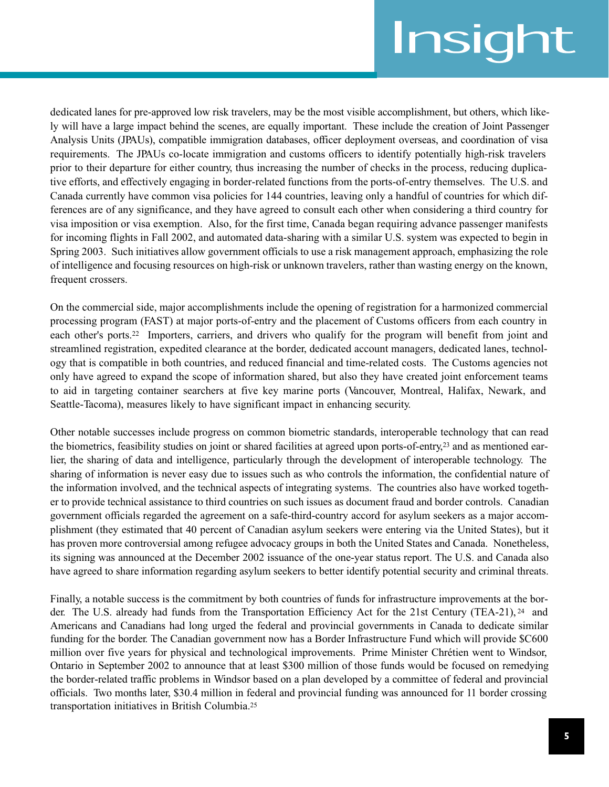dedicated lanes for pre-approved low risk travelers, may be the most visible accomplishment, but others, which likely will have a large impact behind the scenes, are equally important. These include the creation of Joint Passenger Analysis Units (JPAUs), compatible immigration databases, officer deployment overseas, and coordination of visa requirements. The JPAUs co-locate immigration and customs officers to identify potentially high-risk travelers prior to their departure for either country, thus increasing the number of checks in the process, reducing duplicative efforts, and effectively engaging in border-related functions from the ports-of-entry themselves. The U.S. and Canada currently have common visa policies for 144 countries, leaving only a handful of countries for which differences are of any significance, and they have agreed to consult each other when considering a third country for visa imposition or visa exemption. Also, for the first time, Canada began requiring advance passenger manifests for incoming flights in Fall 2002, and automated data-sharing with a similar U.S. system was expected to begin in Spring 2003. Such initiatives allow government officials to use a risk management approach, emphasizing the role of intelligence and focusing resources on high-risk or unknown travelers, rather than wasting energy on the known, frequent crossers.

On the commercial side, major accomplishments include the opening of registration for a harmonized commercial processing program (FAST) at major ports-of-entry and the placement of Customs officers from each country in each other's ports.22 Importers, carriers, and drivers who qualify for the program will benefit from joint and streamlined registration, expedited clearance at the border, dedicated account managers, dedicated lanes, technology that is compatible in both countries, and reduced financial and time-related costs. The Customs agencies not only have agreed to expand the scope of information shared, but also they have created joint enforcement teams to aid in targeting container searchers at five key marine ports (Vancouver, Montreal, Halifax, Newark, and Seattle-Tacoma), measures likely to have significant impact in enhancing security.

Other notable successes include progress on common biometric standards, interoperable technology that can read the biometrics, feasibility studies on joint or shared facilities at agreed upon ports-of-entry,23 and as mentioned earlier, the sharing of data and intelligence, particularly through the development of interoperable technology. The sharing of information is never easy due to issues such as who controls the information, the confidential nature of the information involved, and the technical aspects of integrating systems. The countries also have worked together to provide technical assistance to third countries on such issues as document fraud and border controls. Canadian government officials regarded the agreement on a safe-third-country accord for asylum seekers as a major accomplishment (they estimated that 40 percent of Canadian asylum seekers were entering via the United States), but it has proven more controversial among refugee advocacy groups in both the United States and Canada. Nonetheless, its signing was announced at the December 2002 issuance of the one-year status report. The U.S. and Canada also have agreed to share information regarding asylum seekers to better identify potential security and criminal threats.

Finally, a notable success is the commitment by both countries of funds for infrastructure improvements at the border. The U.S. already had funds from the Transportation Efficiency Act for the 21st Century (TEA-21), <sup>24</sup> and Americans and Canadians had long urged the federal and provincial governments in Canada to dedicate similar funding for the border. The Canadian government now has a Border Infrastructure Fund which will provide \$C600 million over five years for physical and technological improvements. Prime Minister Chrétien went to Windsor, Ontario in September 2002 to announce that at least \$300 million of those funds would be focused on remedying the border-related traffic problems in Windsor based on a plan developed by a committee of federal and provincial officials. Two months later, \$30.4 million in federal and provincial funding was announced for 11 border crossing transportation initiatives in British Columbia.25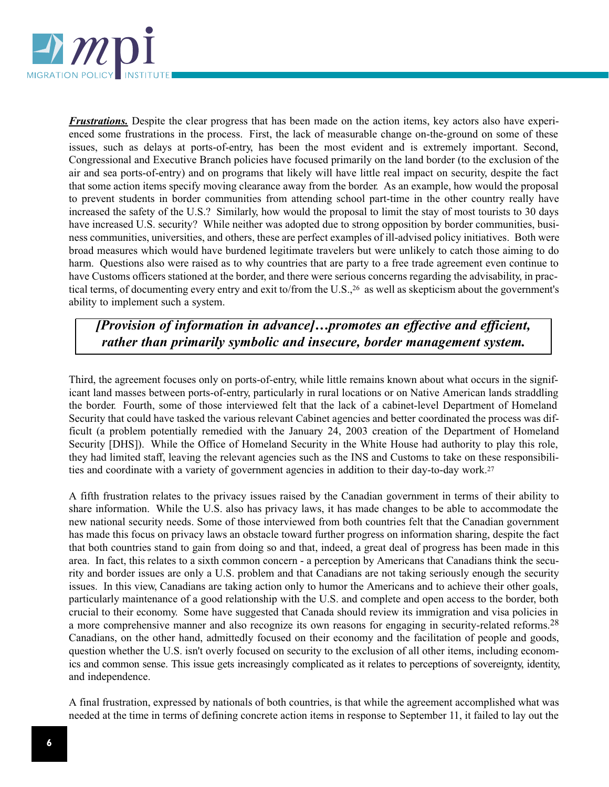

*Frustrations.* Despite the clear progress that has been made on the action items, key actors also have experienced some frustrations in the process. First, the lack of measurable change on-the-ground on some of these issues, such as delays at ports-of-entry, has been the most evident and is extremely important. Second, Congressional and Executive Branch policies have focused primarily on the land border (to the exclusion of the air and sea ports-of-entry) and on programs that likely will have little real impact on security, despite the fact that some action items specify moving clearance away from the border. As an example, how would the proposal to prevent students in border communities from attending school part-time in the other country really have increased the safety of the U.S.? Similarly, how would the proposal to limit the stay of most tourists to 30 days have increased U.S. security? While neither was adopted due to strong opposition by border communities, business communities, universities, and others, these are perfect examples of ill-advised policy initiatives. Both were broad measures which would have burdened legitimate travelers but were unlikely to catch those aiming to do harm. Questions also were raised as to why countries that are party to a free trade agreement even continue to have Customs officers stationed at the border, and there were serious concerns regarding the advisability, in practical terms, of documenting every entry and exit to/from the U.S.,26 as well as skepticism about the government's ability to implement such a system.

*[Provision of information in advance]…promotes an effective and efficient, rather than primarily symbolic and insecure, border management system.*

Third, the agreement focuses only on ports-of-entry, while little remains known about what occurs in the significant land masses between ports-of-entry, particularly in rural locations or on Native American lands straddling the border. Fourth, some of those interviewed felt that the lack of a cabinet-level Department of Homeland Security that could have tasked the various relevant Cabinet agencies and better coordinated the process was difficult (a problem potentially remedied with the January 24, 2003 creation of the Department of Homeland Security [DHS]). While the Office of Homeland Security in the White House had authority to play this role, they had limited staff, leaving the relevant agencies such as the INS and Customs to take on these responsibilities and coordinate with a variety of government agencies in addition to their day-to-day work.<sup>27</sup>

A fifth frustration relates to the privacy issues raised by the Canadian government in terms of their ability to share information. While the U.S. also has privacy laws, it has made changes to be able to accommodate the new national security needs. Some of those interviewed from both countries felt that the Canadian government has made this focus on privacy laws an obstacle toward further progress on information sharing, despite the fact that both countries stand to gain from doing so and that, indeed, a great deal of progress has been made in this area. In fact, this relates to a sixth common concern - a perception by Americans that Canadians think the security and border issues are only a U.S. problem and that Canadians are not taking seriously enough the security issues. In this view, Canadians are taking action only to humor the Americans and to achieve their other goals, particularly maintenance of a good relationship with the U.S. and complete and open access to the border, both crucial to their economy. Some have suggested that Canada should review its immigration and visa policies in a more comprehensive manner and also recognize its own reasons for engaging in security-related reforms.<sup>28</sup> Canadians, on the other hand, admittedly focused on their economy and the facilitation of people and goods, question whether the U.S. isn't overly focused on security to the exclusion of all other items, including economics and common sense. This issue gets increasingly complicated as it relates to perceptions of sovereignty, identity, and independence.

A final frustration, expressed by nationals of both countries, is that while the agreement accomplished what was needed at the time in terms of defining concrete action items in response to September 11, it failed to lay out the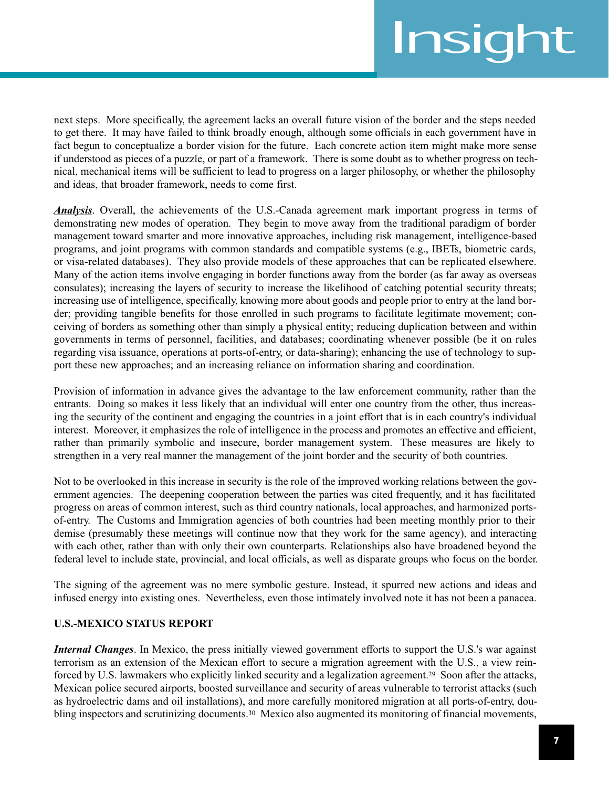next steps. More specifically, the agreement lacks an overall future vision of the border and the steps needed to get there. It may have failed to think broadly enough, although some officials in each government have in fact begun to conceptualize a border vision for the future. Each concrete action item might make more sense if understood as pieces of a puzzle, or part of a framework. There is some doubt as to whether progress on technical, mechanical items will be sufficient to lead to progress on a larger philosophy, or whether the philosophy and ideas, that broader framework, needs to come first.

*Analysis*. Overall, the achievements of the U.S.-Canada agreement mark important progress in terms of demonstrating new modes of operation. They begin to move away from the traditional paradigm of border management toward smarter and more innovative approaches, including risk management, intelligence-based programs, and joint programs with common standards and compatible systems (e.g., IBETs, biometric cards, or visa-related databases). They also provide models of these approaches that can be replicated elsewhere. Many of the action items involve engaging in border functions away from the border (as far away as overseas consulates); increasing the layers of security to increase the likelihood of catching potential security threats; increasing use of intelligence, specifically, knowing more about goods and people prior to entry at the land border; providing tangible benefits for those enrolled in such programs to facilitate legitimate movement; conceiving of borders as something other than simply a physical entity; reducing duplication between and within governments in terms of personnel, facilities, and databases; coordinating whenever possible (be it on rules regarding visa issuance, operations at ports-of-entry, or data-sharing); enhancing the use of technology to support these new approaches; and an increasing reliance on information sharing and coordination.

Provision of information in advance gives the advantage to the law enforcement community, rather than the entrants. Doing so makes it less likely that an individual will enter one country from the other, thus increasing the security of the continent and engaging the countries in a joint effort that is in each country's individual interest. Moreover, it emphasizes the role of intelligence in the process and promotes an effective and efficient, rather than primarily symbolic and insecure, border management system. These measures are likely to strengthen in a very real manner the management of the joint border and the security of both countries.

Not to be overlooked in this increase in security is the role of the improved working relations between the government agencies. The deepening cooperation between the parties was cited frequently, and it has facilitated progress on areas of common interest, such as third country nationals, local approaches, and harmonized portsof-entry. The Customs and Immigration agencies of both countries had been meeting monthly prior to their demise (presumably these meetings will continue now that they work for the same agency), and interacting with each other, rather than with only their own counterparts. Relationships also have broadened beyond the federal level to include state, provincial, and local officials, as well as disparate groups who focus on the border.

The signing of the agreement was no mere symbolic gesture. Instead, it spurred new actions and ideas and infused energy into existing ones. Nevertheless, even those intimately involved note it has not been a panacea.

### **U.S.-MEXICO STATUS REPORT**

*Internal Changes*. In Mexico, the press initially viewed government efforts to support the U.S.'s war against terrorism as an extension of the Mexican effort to secure a migration agreement with the U.S., a view reinforced by U.S. lawmakers who explicitly linked security and a legalization agreement.29 Soon after the attacks, Mexican police secured airports, boosted surveillance and security of areas vulnerable to terrorist attacks (such as hydroelectric dams and oil installations), and more carefully monitored migration at all ports-of-entry, doubling inspectors and scrutinizing documents.30 Mexico also augmented its monitoring of financial movements,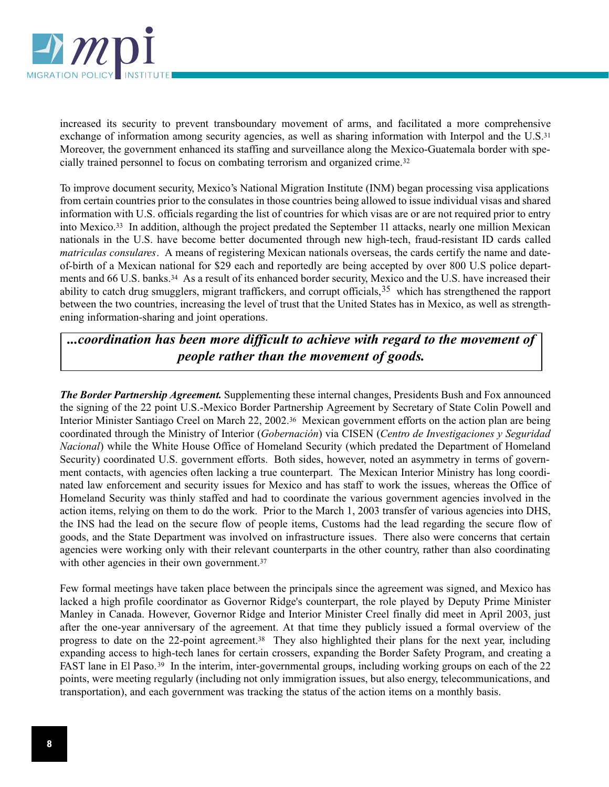

increased its security to prevent transboundary movement of arms, and facilitated a more comprehensive exchange of information among security agencies, as well as sharing information with Interpol and the U.S.<sup>31</sup> Moreover, the government enhanced its staffing and surveillance along the Mexico-Guatemala border with specially trained personnel to focus on combating terrorism and organized crime.32

To improve document security, Mexico's National Migration Institute (INM) began processing visa applications from certain countries prior to the consulates in those countries being allowed to issue individual visas and shared information with U.S. officials regarding the list of countries for which visas are or are not required prior to entry into Mexico.33 In addition, although the project predated the September 11 attacks, nearly one million Mexican nationals in the U.S. have become better documented through new high-tech, fraud-resistant ID cards called *matriculas consulares*. A means of registering Mexican nationals overseas, the cards certify the name and dateof-birth of a Mexican national for \$29 each and reportedly are being accepted by over 800 U.S police departments and 66 U.S. banks.<sup>34</sup> As a result of its enhanced border security, Mexico and the U.S. have increased their ability to catch drug smugglers, migrant traffickers, and corrupt officials,35 which has strengthened the rapport between the two countries, increasing the level of trust that the United States has in Mexico, as well as strengthening information-sharing and joint operations.

*...coordination has been more difficult to achieve with regard to the movement of people rather than the movement of goods.*

*The Border Partnership Agreement.* Supplementing these internal changes, Presidents Bush and Fox announced the signing of the 22 point U.S.-Mexico Border Partnership Agreement by Secretary of State Colin Powell and Interior Minister Santiago Creel on March 22, 2002.36 Mexican government efforts on the action plan are being coordinated through the Ministry of Interior (*Gobernación*) via CISEN (*Centro de Investigaciones y Seguridad Nacional*) while the White House Office of Homeland Security (which predated the Department of Homeland Security) coordinated U.S. government efforts. Both sides, however, noted an asymmetry in terms of government contacts, with agencies often lacking a true counterpart. The Mexican Interior Ministry has long coordinated law enforcement and security issues for Mexico and has staff to work the issues, whereas the Office of Homeland Security was thinly staffed and had to coordinate the various government agencies involved in the action items, relying on them to do the work. Prior to the March 1, 2003 transfer of various agencies into DHS, the INS had the lead on the secure flow of people items, Customs had the lead regarding the secure flow of goods, and the State Department was involved on infrastructure issues. There also were concerns that certain agencies were working only with their relevant counterparts in the other country, rather than also coordinating with other agencies in their own government.<sup>37</sup>

Few formal meetings have taken place between the principals since the agreement was signed, and Mexico has lacked a high profile coordinator as Governor Ridge's counterpart, the role played by Deputy Prime Minister Manley in Canada. However, Governor Ridge and Interior Minister Creel finally did meet in April 2003, just after the one-year anniversary of the agreement. At that time they publicly issued a formal overview of the progress to date on the 22-point agreement.38 They also highlighted their plans for the next year, including expanding access to high-tech lanes for certain crossers, expanding the Border Safety Program, and creating a FAST lane in El Paso.39 In the interim, inter-governmental groups, including working groups on each of the 22 points, were meeting regularly (including not only immigration issues, but also energy, telecommunications, and transportation), and each government was tracking the status of the action items on a monthly basis.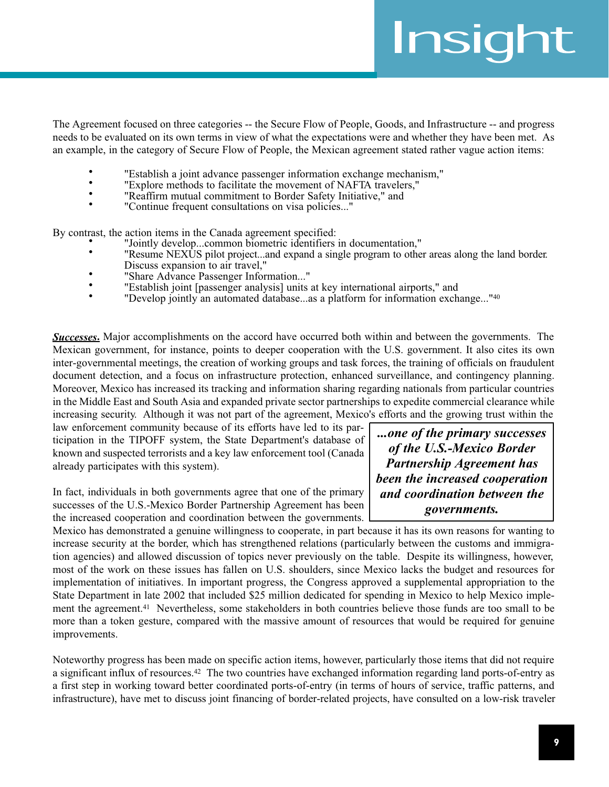The Agreement focused on three categories -- the Secure Flow of People, Goods, and Infrastructure -- and progress needs to be evaluated on its own terms in view of what the expectations were and whether they have been met. As an example, in the category of Secure Flow of People, the Mexican agreement stated rather vague action items:

- **·** "Establish a joint advance passenger information exchange mechanism,"
- **·** "Explore methods to facilitate the movement of NAFTA travelers,"
- **·** "Reaffirm mutual commitment to Border Safety Initiative," and
- **·** "Continue frequent consultations on visa policies..."

By contrast, the action items in the Canada agreement specified:

- **·** "Jointly develop...common biometric identifiers in documentation,"
- **·** "Resume NEXUS pilot project...and expand a single program to other areas along the land border. Discuss expansion to air travel,"
- **·** "Share Advance Passenger Information..."
- **·** "Establish joint [passenger analysis] units at key international airports," and
- **·** "Develop jointly an automated database...as a platform for information exchange..."40

*Successes***.** Major accomplishments on the accord have occurred both within and between the governments. The Mexican government, for instance, points to deeper cooperation with the U.S. government. It also cites its own inter-governmental meetings, the creation of working groups and task forces, the training of officials on fraudulent document detection, and a focus on infrastructure protection, enhanced surveillance, and contingency planning. Moreover, Mexico has increased its tracking and information sharing regarding nationals from particular countries in the Middle East and South Asia and expanded private sector partnerships to expedite commercial clearance while increasing security. Although it was not part of the agreement, Mexico's efforts and the growing trust within the

law enforcement community because of its efforts have led to its participation in the TIPOFF system, the State Department's database of known and suspected terrorists and a key law enforcement tool (Canada already participates with this system).

In fact, individuals in both governments agree that one of the primary successes of the U.S.-Mexico Border Partnership Agreement has been the increased cooperation and coordination between the governments.

*...one of the primary successes of the U.S.-Mexico Border Partnership Agreement has been the increased cooperation and coordination between the governments.*

Mexico has demonstrated a genuine willingness to cooperate, in part because it has its own reasons for wanting to increase security at the border, which has strengthened relations (particularly between the customs and immigration agencies) and allowed discussion of topics never previously on the table. Despite its willingness, however, most of the work on these issues has fallen on U.S. shoulders, since Mexico lacks the budget and resources for implementation of initiatives. In important progress, the Congress approved a supplemental appropriation to the State Department in late 2002 that included \$25 million dedicated for spending in Mexico to help Mexico implement the agreement.41 Nevertheless, some stakeholders in both countries believe those funds are too small to be more than a token gesture, compared with the massive amount of resources that would be required for genuine improvements.

Noteworthy progress has been made on specific action items, however, particularly those items that did not require a significant influx of resources.42 The two countries have exchanged information regarding land ports-of-entry as a first step in working toward better coordinated ports-of-entry (in terms of hours of service, traffic patterns, and infrastructure), have met to discuss joint financing of border-related projects, have consulted on a low-risk traveler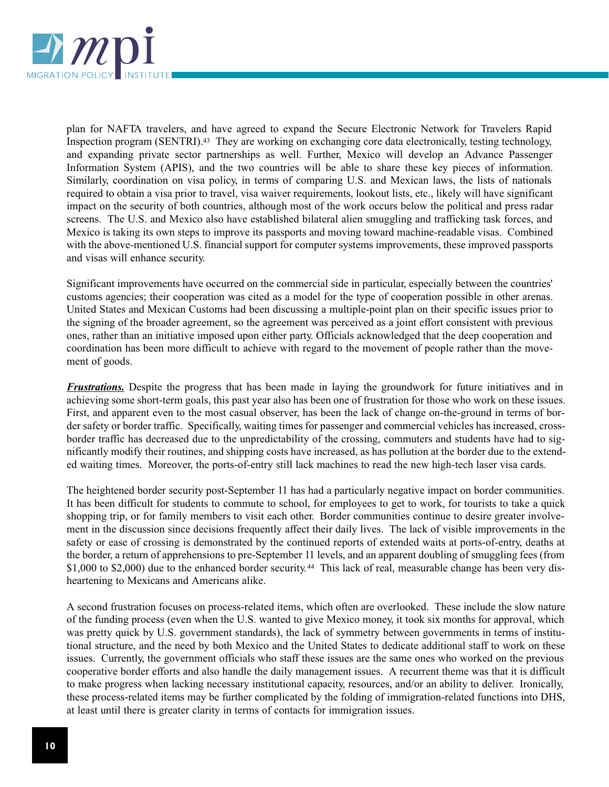

plan for NAFTA travelers, and have agreed to expand the Secure Electronic Network for Travelers Rapid Inspection program (SENTRI).<sup>43</sup> They are working on exchanging core data electronically, testing technology, and expanding private sector partnerships as well. Further, Mexico will develop an Advance Passenger Information System (APIS), and the two countries will be able to share these key pieces of information. Similarly, coordination on visa policy, in terms of comparing U.S. and Mexican laws, the lists of nationals required to obtain a visa prior to travel, visa waiver requirements, lookout lists, etc., likely will have significant impact on the security of both countries, although most of the work occurs below the political and press radar screens. The U.S. and Mexico also have established bilateral alien smuggling and trafficking task forces, and Mexico is taking its own steps to improve its passports and moving toward machine-readable visas. Combined with the above-mentioned U.S. financial support for computer systems improvements, these improved passports and visas will enhance security.

Significant improvements have occurred on the commercial side in particular, especially between the countries' customs agencies; their cooperation was cited as a model for the type of cooperation possible in other arenas. United States and Mexican Customs had been discussing a multiple-point plan on their specific issues prior to the signing of the broader agreement, so the agreement was perceived as a joint effort consistent with previous ones, rather than an initiative imposed upon either party. Officials acknowledged that the deep cooperation and coordination has been more difficult to achieve with regard to the movement of people rather than the movement of goods.

*Frustrations.* Despite the progress that has been made in laying the groundwork for future initiatives and in achieving some short-term goals, this past year also has been one of frustration for those who work on these issues. First, and apparent even to the most casual observer, has been the lack of change on-the-ground in terms of border safety or border traffic. Specifically, waiting times for passenger and commercial vehicles has increased, crossborder traffic has decreased due to the unpredictability of the crossing, commuters and students have had to significantly modify their routines, and shipping costs have increased, as has pollution at the border due to the extended waiting times. Moreover, the ports-of-entry still lack machines to read the new high-tech laser visa cards.

The heightened border security post-September 11 has had a particularly negative impact on border communities. It has been difficult for students to commute to school, for employees to get to work, for tourists to take a quick shopping trip, or for family members to visit each other. Border communities continue to desire greater involvement in the discussion since decisions frequently affect their daily lives. The lack of visible improvements in the safety or ease of crossing is demonstrated by the continued reports of extended waits at ports-of-entry, deaths at the border, a return of apprehensions to pre-September 11 levels, and an apparent doubling of smuggling fees (from \$1,000 to \$2,000) due to the enhanced border security.<sup>44</sup> This lack of real, measurable change has been very disheartening to Mexicans and Americans alike.

A second frustration focuses on process-related items, which often are overlooked. These include the slow nature of the funding process (even when the U.S. wanted to give Mexico money, it took six months for approval, which was pretty quick by U.S. government standards), the lack of symmetry between governments in terms of institutional structure, and the need by both Mexico and the United States to dedicate additional staff to work on these issues. Currently, the government officials who staff these issues are the same ones who worked on the previous cooperative border efforts and also handle the daily management issues. A recurrent theme was that it is difficult to make progress when lacking necessary institutional capacity, resources, and/or an ability to deliver. Ironically, these process-related items may be further complicated by the folding of immigration-related functions into DHS, at least until there is greater clarity in terms of contacts for immigration issues.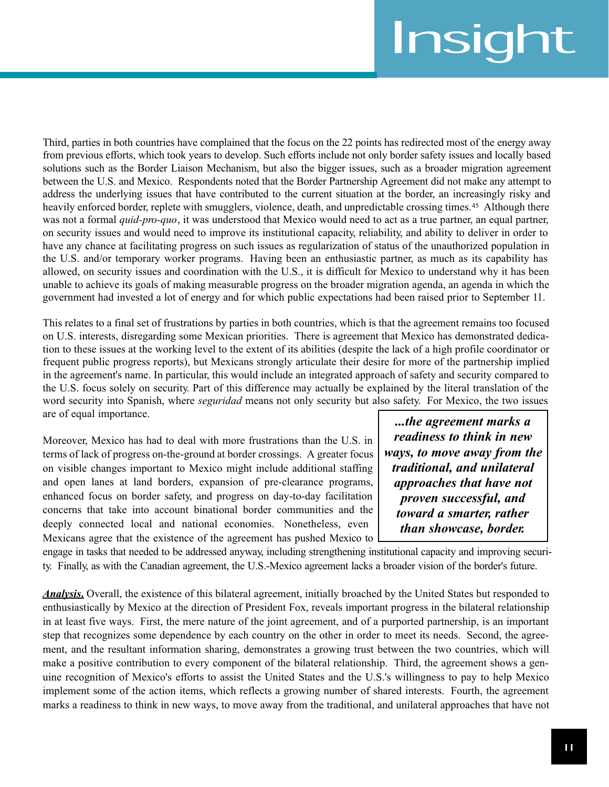Third, parties in both countries have complained that the focus on the 22 points has redirected most of the energy away from previous efforts, which took years to develop. Such efforts include not only border safety issues and locally based solutions such as the Border Liaison Mechanism, but also the bigger issues, such as a broader migration agreement between the U.S. and Mexico. Respondents noted that the Border Partnership Agreement did not make any attempt to address the underlying issues that have contributed to the current situation at the border, an increasingly risky and heavily enforced border, replete with smugglers, violence, death, and unpredictable crossing times.45 Although there was not a formal *quid-pro-quo*, it was understood that Mexico would need to act as a true partner, an equal partner, on security issues and would need to improve its institutional capacity, reliability, and ability to deliver in order to have any chance at facilitating progress on such issues as regularization of status of the unauthorized population in the U.S. and/or temporary worker programs. Having been an enthusiastic partner, as much as its capability has allowed, on security issues and coordination with the U.S., it is difficult for Mexico to understand why it has been unable to achieve its goals of making measurable progress on the broader migration agenda, an agenda in which the government had invested a lot of energy and for which public expectations had been raised prior to September 11.

This relates to a final set of frustrations by parties in both countries, which is that the agreement remains too focused on U.S. interests, disregarding some Mexican priorities. There is agreement that Mexico has demonstrated dedication to these issues at the working level to the extent of its abilities (despite the lack of a high profile coordinator or frequent public progress reports), but Mexicans strongly articulate their desire for more of the partnership implied in the agreement's name. In particular, this would include an integrated approach of safety and security compared to the U.S. focus solely on security. Part of this difference may actually be explained by the literal translation of the word security into Spanish, where *seguridad* means not only security but also safety. For Mexico, the two issues are of equal importance.

Moreover, Mexico has had to deal with more frustrations than the U.S. in terms of lack of progress on-the-ground at border crossings. A greater focus on visible changes important to Mexico might include additional staffing and open lanes at land borders, expansion of pre-clearance programs, enhanced focus on border safety, and progress on day-to-day facilitation concerns that take into account binational border communities and the deeply connected local and national economies. Nonetheless, even Mexicans agree that the existence of the agreement has pushed Mexico to

*...the agreement marks a readiness to think in new ways, to move away from the traditional, and unilateral approaches that have not proven successful, and toward a smarter, rather than showcase, border.*

engage in tasks that needed to be addressed anyway, including strengthening institutional capacity and improving security. Finally, as with the Canadian agreement, the U.S.-Mexico agreement lacks a broader vision of the border's future.

*Analysis***.** Overall, the existence of this bilateral agreement, initially broached by the United States but responded to enthusiastically by Mexico at the direction of President Fox, reveals important progress in the bilateral relationship in at least five ways. First, the mere nature of the joint agreement, and of a purported partnership, is an important step that recognizes some dependence by each country on the other in order to meet its needs. Second, the agreement, and the resultant information sharing, demonstrates a growing trust between the two countries, which will make a positive contribution to every component of the bilateral relationship. Third, the agreement shows a genuine recognition of Mexico's efforts to assist the United States and the U.S.'s willingness to pay to help Mexico implement some of the action items, which reflects a growing number of shared interests. Fourth, the agreement marks a readiness to think in new ways, to move away from the traditional, and unilateral approaches that have not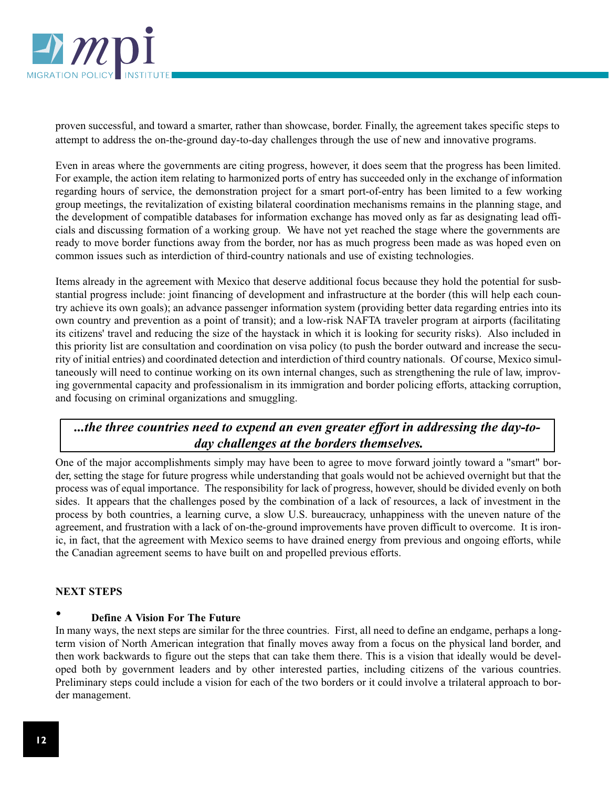

proven successful, and toward a smarter, rather than showcase, border. Finally, the agreement takes specific steps to attempt to address the on-the-ground day-to-day challenges through the use of new and innovative programs.

Even in areas where the governments are citing progress, however, it does seem that the progress has been limited. For example, the action item relating to harmonized ports of entry has succeeded only in the exchange of information regarding hours of service, the demonstration project for a smart port-of-entry has been limited to a few working group meetings, the revitalization of existing bilateral coordination mechanisms remains in the planning stage, and the development of compatible databases for information exchange has moved only as far as designating lead officials and discussing formation of a working group. We have not yet reached the stage where the governments are ready to move border functions away from the border, nor has as much progress been made as was hoped even on common issues such as interdiction of third-country nationals and use of existing technologies.

Items already in the agreement with Mexico that deserve additional focus because they hold the potential for susbstantial progress include: joint financing of development and infrastructure at the border (this will help each country achieve its own goals); an advance passenger information system (providing better data regarding entries into its own country and prevention as a point of transit); and a low-risk NAFTA traveler program at airports (facilitating its citizens' travel and reducing the size of the haystack in which it is looking for security risks). Also included in this priority list are consultation and coordination on visa policy (to push the border outward and increase the security of initial entries) and coordinated detection and interdiction of third country nationals. Of course, Mexico simultaneously will need to continue working on its own internal changes, such as strengthening the rule of law, improving governmental capacity and professionalism in its immigration and border policing efforts, attacking corruption, and focusing on criminal organizations and smuggling.

### *...the three countries need to expend an even greater effort in addressing the day-today challenges at the borders themselves.*

One of the major accomplishments simply may have been to agree to move forward jointly toward a "smart" border, setting the stage for future progress while understanding that goals would not be achieved overnight but that the process was of equal importance. The responsibility for lack of progress, however, should be divided evenly on both sides. It appears that the challenges posed by the combination of a lack of resources, a lack of investment in the process by both countries, a learning curve, a slow U.S. bureaucracy, unhappiness with the uneven nature of the agreement, and frustration with a lack of on-the-ground improvements have proven difficult to overcome. It is ironic, in fact, that the agreement with Mexico seems to have drained energy from previous and ongoing efforts, while the Canadian agreement seems to have built on and propelled previous efforts.

### **NEXT STEPS**

### **· Define A Vision For The Future**

In many ways, the next steps are similar for the three countries. First, all need to define an endgame, perhaps a longterm vision of North American integration that finally moves away from a focus on the physical land border, and then work backwards to figure out the steps that can take them there. This is a vision that ideally would be developed both by government leaders and by other interested parties, including citizens of the various countries. Preliminary steps could include a vision for each of the two borders or it could involve a trilateral approach to border management.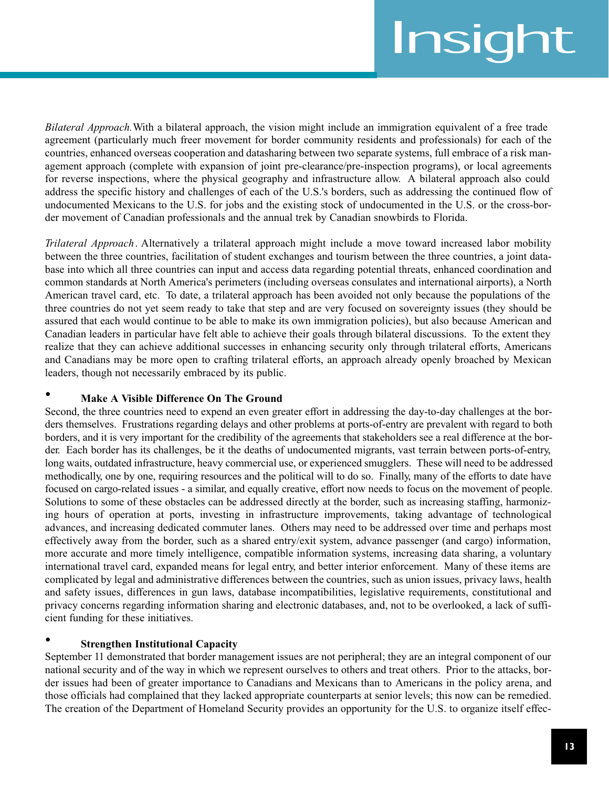*Bilateral Approach.*With a bilateral approach, the vision might include an immigration equivalent of a free trade agreement (particularly much freer movement for border community residents and professionals) for each of the countries, enhanced overseas cooperation and datasharing between two separate systems, full embrace of a risk management approach (complete with expansion of joint pre-clearance/pre-inspection programs), or local agreements for reverse inspections, where the physical geography and infrastructure allow. A bilateral approach also could address the specific history and challenges of each of the U.S.'s borders, such as addressing the continued flow of undocumented Mexicans to the U.S. for jobs and the existing stock of undocumented in the U.S. or the cross-border movement of Canadian professionals and the annual trek by Canadian snowbirds to Florida.

*Trilateral Approach*. Alternatively a trilateral approach might include a move toward increased labor mobility between the three countries, facilitation of student exchanges and tourism between the three countries, a joint database into which all three countries can input and access data regarding potential threats, enhanced coordination and common standards at North America's perimeters (including overseas consulates and international airports), a North American travel card, etc. To date, a trilateral approach has been avoided not only because the populations of the three countries do not yet seem ready to take that step and are very focused on sovereignty issues (they should be assured that each would continue to be able to make its own immigration policies), but also because American and Canadian leaders in particular have felt able to achieve their goals through bilateral discussions. To the extent they realize that they can achieve additional successes in enhancing security only through trilateral efforts, Americans and Canadians may be more open to crafting trilateral efforts, an approach already openly broached by Mexican leaders, though not necessarily embraced by its public.

### **· Make A Visible Difference On The Ground**

Second, the three countries need to expend an even greater effort in addressing the day-to-day challenges at the borders themselves. Frustrations regarding delays and other problems at ports-of-entry are prevalent with regard to both borders, and it is very important for the credibility of the agreements that stakeholders see a real difference at the border. Each border has its challenges, be it the deaths of undocumented migrants, vast terrain between ports-of-entry, long waits, outdated infrastructure, heavy commercial use, or experienced smugglers. These will need to be addressed methodically, one by one, requiring resources and the political will to do so. Finally, many of the efforts to date have focused on cargo-related issues - a similar, and equally creative, effort now needs to focus on the movement of people. Solutions to some of these obstacles can be addressed directly at the border, such as increasing staffing, harmonizing hours of operation at ports, investing in infrastructure improvements, taking advantage of technological advances, and increasing dedicated commuter lanes. Others may need to be addressed over time and perhaps most effectively away from the border, such as a shared entry/exit system, advance passenger (and cargo) information, more accurate and more timely intelligence, compatible information systems, increasing data sharing, a voluntary international travel card, expanded means for legal entry, and better interior enforcement. Many of these items are complicated by legal and administrative differences between the countries, such as union issues, privacy laws, health and safety issues, differences in gun laws, database incompatibilities, legislative requirements, constitutional and privacy concerns regarding information sharing and electronic databases, and, not to be overlooked, a lack of sufficient funding for these initiatives.

### **· Strengthen Institutional Capacity**

September 11 demonstrated that border management issues are not peripheral; they are an integral component of our national security and of the way in which we represent ourselves to others and treat others. Prior to the attacks, border issues had been of greater importance to Canadians and Mexicans than to Americans in the policy arena, and those officials had complained that they lacked appropriate counterparts at senior levels; this now can be remedied. The creation of the Department of Homeland Security provides an opportunity for the U.S. to organize itself effec-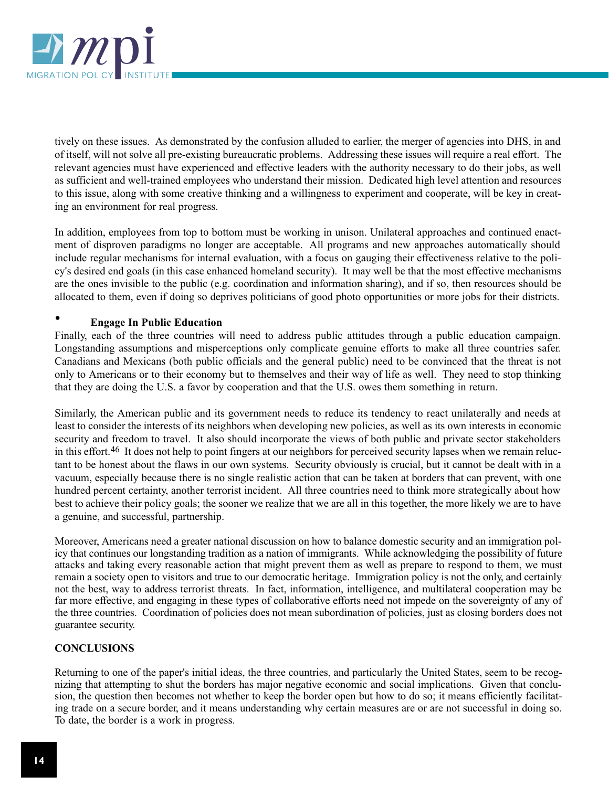

tively on these issues. As demonstrated by the confusion alluded to earlier, the merger of agencies into DHS, in and of itself, will not solve all pre-existing bureaucratic problems. Addressing these issues will require a real effort. The relevant agencies must have experienced and effective leaders with the authority necessary to do their jobs, as well as sufficient and well-trained employees who understand their mission. Dedicated high level attention and resources to this issue, along with some creative thinking and a willingness to experiment and cooperate, will be key in creating an environment for real progress.

In addition, employees from top to bottom must be working in unison. Unilateral approaches and continued enactment of disproven paradigms no longer are acceptable. All programs and new approaches automatically should include regular mechanisms for internal evaluation, with a focus on gauging their effectiveness relative to the policy's desired end goals (in this case enhanced homeland security). It may well be that the most effective mechanisms are the ones invisible to the public (e.g. coordination and information sharing), and if so, then resources should be allocated to them, even if doing so deprives politicians of good photo opportunities or more jobs for their districts.

### **· Engage In Public Education**

Finally, each of the three countries will need to address public attitudes through a public education campaign. Longstanding assumptions and misperceptions only complicate genuine efforts to make all three countries safer. Canadians and Mexicans (both public officials and the general public) need to be convinced that the threat is not only to Americans or to their economy but to themselves and their way of life as well. They need to stop thinking that they are doing the U.S. a favor by cooperation and that the U.S. owes them something in return.

Similarly, the American public and its government needs to reduce its tendency to react unilaterally and needs at least to consider the interests of its neighbors when developing new policies, as well as its own interests in economic security and freedom to travel. It also should incorporate the views of both public and private sector stakeholders in this effort.<sup>46</sup> It does not help to point fingers at our neighbors for perceived security lapses when we remain reluctant to be honest about the flaws in our own systems. Security obviously is crucial, but it cannot be dealt with in a vacuum, especially because there is no single realistic action that can be taken at borders that can prevent, with one hundred percent certainty, another terrorist incident. All three countries need to think more strategically about how best to achieve their policy goals; the sooner we realize that we are all in this together, the more likely we are to have a genuine, and successful, partnership.

Moreover, Americans need a greater national discussion on how to balance domestic security and an immigration policy that continues our longstanding tradition as a nation of immigrants. While acknowledging the possibility of future attacks and taking every reasonable action that might prevent them as well as prepare to respond to them, we must remain a society open to visitors and true to our democratic heritage. Immigration policy is not the only, and certainly not the best, way to address terrorist threats. In fact, information, intelligence, and multilateral cooperation may be far more effective, and engaging in these types of collaborative efforts need not impede on the sovereignty of any of the three countries. Coordination of policies does not mean subordination of policies, just as closing borders does not guarantee security.

### **CONCLUSIONS**

Returning to one of the paper's initial ideas, the three countries, and particularly the United States, seem to be recognizing that attempting to shut the borders has major negative economic and social implications. Given that conclusion, the question then becomes not whether to keep the border open but how to do so; it means efficiently facilitating trade on a secure border, and it means understanding why certain measures are or are not successful in doing so. To date, the border is a work in progress.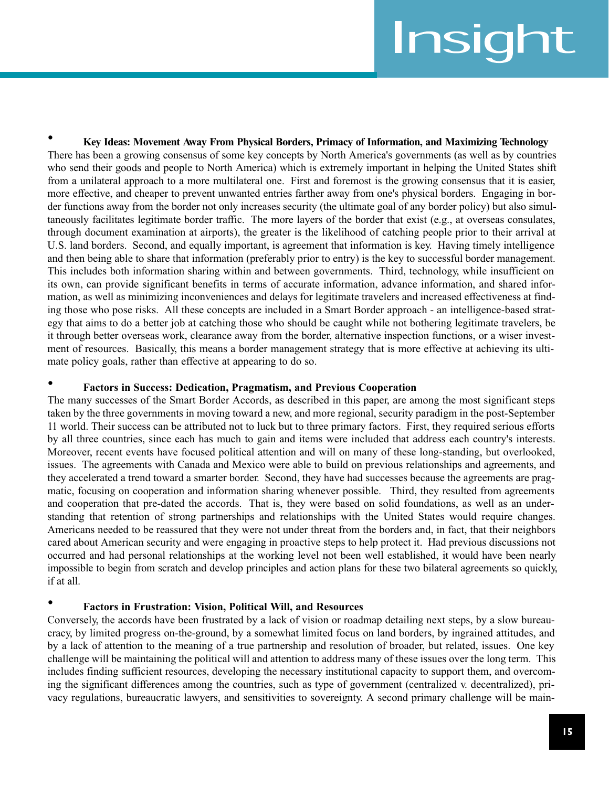**· Key Ideas: Movement Away From Physical Borders, Primacy of Information, and Maximizing Technology** There has been a growing consensus of some key concepts by North America's governments (as well as by countries who send their goods and people to North America) which is extremely important in helping the United States shift from a unilateral approach to a more multilateral one. First and foremost is the growing consensus that it is easier, more effective, and cheaper to prevent unwanted entries farther away from one's physical borders. Engaging in border functions away from the border not only increases security (the ultimate goal of any border policy) but also simultaneously facilitates legitimate border traffic. The more layers of the border that exist (e.g., at overseas consulates, through document examination at airports), the greater is the likelihood of catching people prior to their arrival at U.S. land borders. Second, and equally important, is agreement that information is key. Having timely intelligence and then being able to share that information (preferably prior to entry) is the key to successful border management. This includes both information sharing within and between governments. Third, technology, while insufficient on its own, can provide significant benefits in terms of accurate information, advance information, and shared information, as well as minimizing inconveniences and delays for legitimate travelers and increased effectiveness at finding those who pose risks. All these concepts are included in a Smart Border approach - an intelligence-based strategy that aims to do a better job at catching those who should be caught while not bothering legitimate travelers, be it through better overseas work, clearance away from the border, alternative inspection functions, or a wiser investment of resources. Basically, this means a border management strategy that is more effective at achieving its ultimate policy goals, rather than effective at appearing to do so.

### **· Factors in Success: Dedication, Pragmatism, and Previous Cooperation**

The many successes of the Smart Border Accords, as described in this paper, are among the most significant steps taken by the three governments in moving toward a new, and more regional, security paradigm in the post-September 11 world. Their success can be attributed not to luck but to three primary factors. First, they required serious efforts by all three countries, since each has much to gain and items were included that address each country's interests. Moreover, recent events have focused political attention and will on many of these long-standing, but overlooked, issues. The agreements with Canada and Mexico were able to build on previous relationships and agreements, and they accelerated a trend toward a smarter border. Second, they have had successes because the agreements are pragmatic, focusing on cooperation and information sharing whenever possible. Third, they resulted from agreements and cooperation that pre-dated the accords. That is, they were based on solid foundations, as well as an understanding that retention of strong partnerships and relationships with the United States would require changes. Americans needed to be reassured that they were not under threat from the borders and, in fact, that their neighbors cared about American security and were engaging in proactive steps to help protect it. Had previous discussions not occurred and had personal relationships at the working level not been well established, it would have been nearly impossible to begin from scratch and develop principles and action plans for these two bilateral agreements so quickly, if at all.

### **· Factors in Frustration: Vision, Political Will, and Resources**

Conversely, the accords have been frustrated by a lack of vision or roadmap detailing next steps, by a slow bureaucracy, by limited progress on-the-ground, by a somewhat limited focus on land borders, by ingrained attitudes, and by a lack of attention to the meaning of a true partnership and resolution of broader, but related, issues. One key challenge will be maintaining the political will and attention to address many of these issues over the long term. This includes finding sufficient resources, developing the necessary institutional capacity to support them, and overcoming the significant differences among the countries, such as type of government (centralized v. decentralized), privacy regulations, bureaucratic lawyers, and sensitivities to sovereignty. A second primary challenge will be main-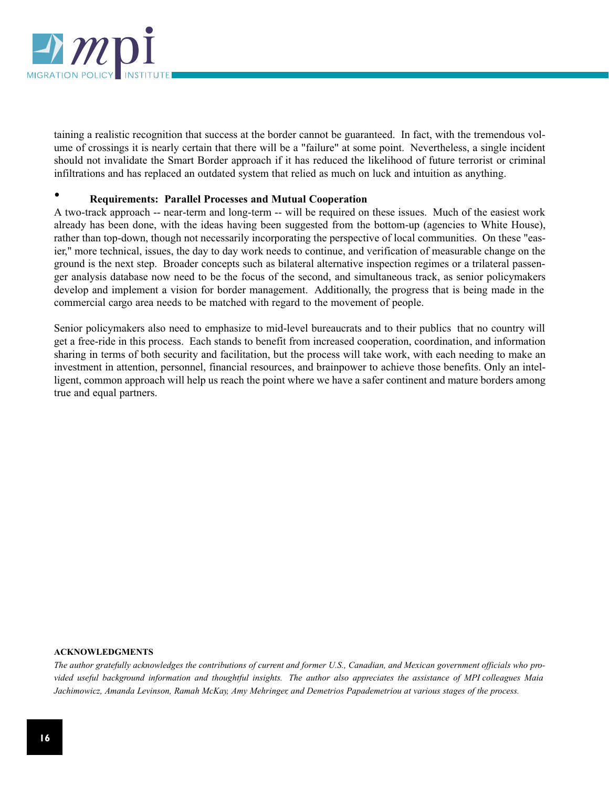

taining a realistic recognition that success at the border cannot be guaranteed. In fact, with the tremendous volume of crossings it is nearly certain that there will be a "failure" at some point. Nevertheless, a single incident should not invalidate the Smart Border approach if it has reduced the likelihood of future terrorist or criminal infiltrations and has replaced an outdated system that relied as much on luck and intuition as anything.

### **· Requirements: Parallel Processes and Mutual Cooperation**

A two-track approach -- near-term and long-term -- will be required on these issues. Much of the easiest work already has been done, with the ideas having been suggested from the bottom-up (agencies to White House), rather than top-down, though not necessarily incorporating the perspective of local communities. On these "easier," more technical, issues, the day to day work needs to continue, and verification of measurable change on the ground is the next step. Broader concepts such as bilateral alternative inspection regimes or a trilateral passenger analysis database now need to be the focus of the second, and simultaneous track, as senior policymakers develop and implement a vision for border management. Additionally, the progress that is being made in the commercial cargo area needs to be matched with regard to the movement of people.

Senior policymakers also need to emphasize to mid-level bureaucrats and to their publics that no country will get a free-ride in this process. Each stands to benefit from increased cooperation, coordination, and information sharing in terms of both security and facilitation, but the process will take work, with each needing to make an investment in attention, personnel, financial resources, and brainpower to achieve those benefits. Only an intelligent, common approach will help us reach the point where we have a safer continent and mature borders among true and equal partners.

#### **ACKNOWLEDGMENTS**

*The author gratefully acknowledges the contributions of current and former U.S., Canadian, and Mexican government officials who provided useful background information and thoughtful insights. The author also appreciates the assistance of MPI colleagues Maia Jachimowicz, Amanda Levinson, Ramah McKay, Amy Mehringer, and Demetrios Papademetriou at various stages of the process.*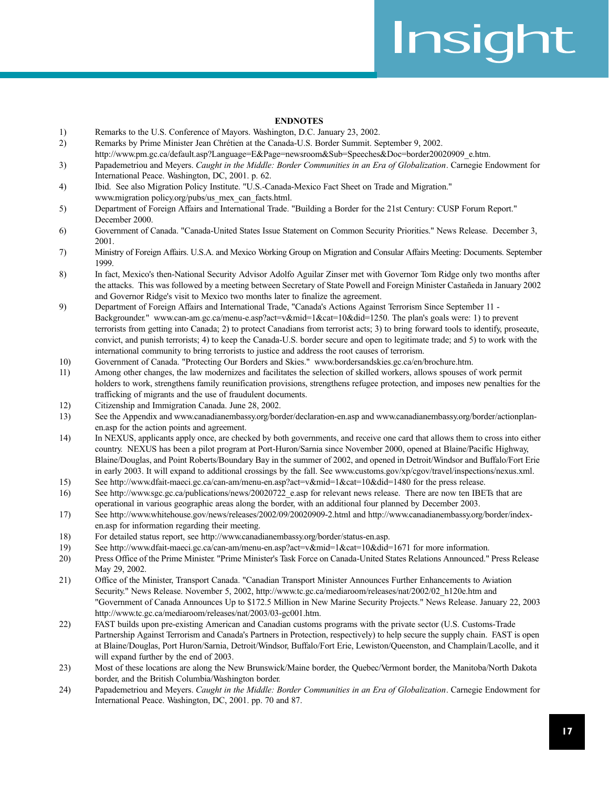#### **ENDNOTES**

- 1) Remarks to the U.S. Conference of Mayors. Washington, D.C. January 23, 2002.
- 2) Remarks by Prime Minister Jean Chrétien at the Canada-U.S. Border Summit. September 9, 2002.
- http://www.pm.gc.ca/default.asp?Language=E&Page=newsroom&Sub=Speeches&Doc=border20020909\_e.htm.
- 3) Papademetriou and Meyers. *Caught in the Middle: Border Communities in an Era of Globalization*. Carnegie Endowment for International Peace. Washington, DC, 2001. p. 62.
- 4) Ibid. See also Migration Policy Institute. "U.S.-Canada-Mexico Fact Sheet on Trade and Migration." www.migration policy.org/pubs/us\_mex\_can\_facts.html.
- 5) Department of Foreign Affairs and International Trade. "Building a Border for the 21st Century: CUSP Forum Report." December 2000.
- 6) Government of Canada. "Canada-United States Issue Statement on Common Security Priorities." News Release. December 3, 2001.
- 7) Ministry of Foreign Affairs. U.S.A. and Mexico Working Group on Migration and Consular Affairs Meeting: Documents. September 1999.
- 8) In fact, Mexico's then-National Security Advisor Adolfo Aguilar Zinser met with Governor Tom Ridge only two months after the attacks. This was followed by a meeting between Secretary of State Powell and Foreign Minister Castañeda in January 2002 and Governor Ridge's visit to Mexico two months later to finalize the agreement.
- 9) Department of Foreign Affairs and International Trade, "Canada's Actions Against Terrorism Since September 11 Backgrounder." www.can-am.gc.ca/menu-e.asp?act=v&mid=1&cat=10&did=1250. The plan's goals were: 1) to prevent terrorists from getting into Canada; 2) to protect Canadians from terrorist acts; 3) to bring forward tools to identify, prosecute, convict, and punish terrorists; 4) to keep the Canada-U.S. border secure and open to legitimate trade; and 5) to work with the international community to bring terrorists to justice and address the root causes of terrorism.
- 10) Government of Canada. "Protecting Our Borders and Skies." www.bordersandskies.gc.ca/en/brochure.htm.
- 11) Among other changes, the law modernizes and facilitates the selection of skilled workers, allows spouses of work permit holders to work, strengthens family reunification provisions, strengthens refugee protection, and imposes new penalties for the trafficking of migrants and the use of fraudulent documents.
- 12) Citizenship and Immigration Canada. June 28, 2002.
- 13) See the Appendix and www.canadianembassy.org/border/declaration-en.asp and www.canadianembassy.org/border/actionplanen.asp for the action points and agreement.
- 14) In NEXUS, applicants apply once, are checked by both governments, and receive one card that allows them to cross into either country. NEXUS has been a pilot program at Port-Huron/Sarnia since November 2000, opened at Blaine/Pacific Highway, Blaine/Douglas, and Point Roberts/Boundary Bay in the summer of 2002, and opened in Detroit/Windsor and Buffalo/Fort Erie in early 2003. It will expand to additional crossings by the fall. See www.customs.gov/xp/cgov/travel/inspections/nexus.xml.
- 15) See http://www.dfait-maeci.gc.ca/can-am/menu-en.asp?act=v&mid=1&cat=10&did=1480 for the press release.
- 16) See http://www.sgc.gc.ca/publications/news/20020722\_e.asp for relevant news release. There are now ten IBETs that are operational in various geographic areas along the border, with an additional four planned by December 2003.
- 17) See http://www.whitehouse.gov/news/releases/2002/09/20020909-2.html and http://www.canadianembassy.org/border/indexen.asp for information regarding their meeting.
- 18) For detailed status report, see http://www.canadianembassy.org/border/status-en.asp.
- 19) See http://www.dfait-maeci.gc.ca/can-am/menu-en.asp?act=v&mid=1&cat=10&did=1671 for more information.
- 20) Press Office of the Prime Minister. "Prime Minister's Task Force on Canada-United States Relations Announced." Press Release May 29, 2002.
- 21) Office of the Minister, Transport Canada. "Canadian Transport Minister Announces Further Enhancements to Aviation Security." News Release. November 5, 2002, http://www.tc.gc.ca/mediaroom/releases/nat/2002/02\_h120e.htm and "Government of Canada Announces Up to \$172.5 Million in New Marine Security Projects." News Release. January 22, 2003 http://www.tc.gc.ca/mediaroom/releases/nat/2003/03-gc001.htm.
- 22) FAST builds upon pre-existing American and Canadian customs programs with the private sector (U.S. Customs-Trade Partnership Against Terrorism and Canada's Partners in Protection, respectively) to help secure the supply chain. FAST is open at Blaine/Douglas, Port Huron/Sarnia, Detroit/Windsor, Buffalo/Fort Erie, Lewiston/Queenston, and Champlain/Lacolle, and it will expand further by the end of 2003.
- 23) Most of these locations are along the New Brunswick/Maine border, the Quebec/Vermont border, the Manitoba/North Dakota border, and the British Columbia/Washington border.
- 24) Papademetriou and Meyers. *Caught in the Middle: Border Communities in an Era of Globalization*. Carnegie Endowment for International Peace. Washington, DC, 2001. pp. 70 and 87.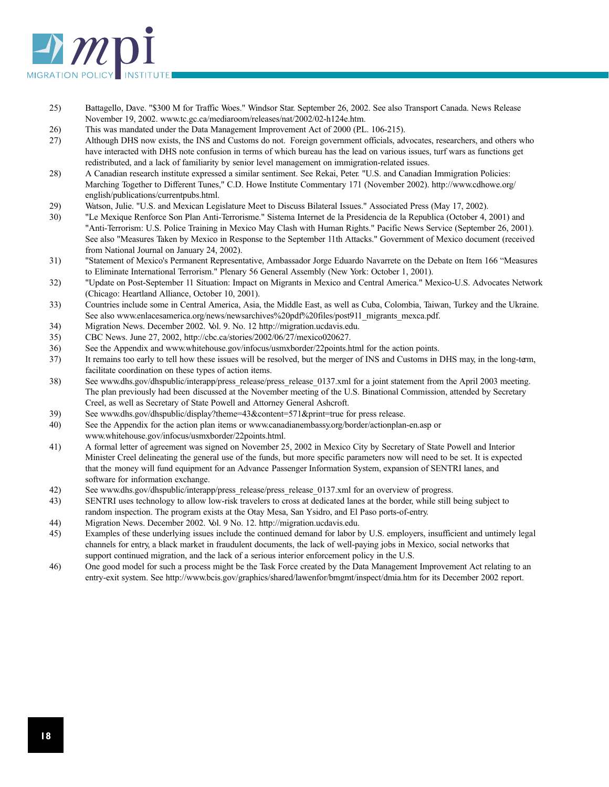

- 25) Battagello, Dave. "\$300 M for Traffic Woes." Windsor Star. September 26, 2002. See also Transport Canada. News Release November 19, 2002. www.tc.gc.ca/mediaroom/releases/nat/2002/02-h124e.htm.
- 26) This was mandated under the Data Management Improvement Act of 2000 (P.L. 106-215).
- 27) Although DHS now exists, the INS and Customs do not. Foreign government officials, advocates, researchers, and others who have interacted with DHS note confusion in terms of which bureau has the lead on various issues, turf wars as functions get redistributed, and a lack of familiarity by senior level management on immigration-related issues.
- 28) A Canadian research institute expressed a similar sentiment. See Rekai, Peter. "U.S. and Canadian Immigration Policies: Marching Together to Different Tunes," C.D. Howe Institute Commentary 171 (November 2002). http://www.cdhowe.org/ english/publications/currentpubs.html.
- 29) Watson, Julie. "U.S. and Mexican Legislature Meet to Discuss Bilateral Issues." Associated Press (May 17, 2002).
- 30) "Le Mexique Renforce Son Plan Anti-Terrorisme." Sistema Internet de la Presidencia de la Republica (October 4, 2001) and "Anti-Terrorism: U.S. Police Training in Mexico May Clash with Human Rights." Pacific News Service (September 26, 2001). See also "Measures Taken by Mexico in Response to the September 11th Attacks." Government of Mexico document (received from National Journal on January 24, 2002).
- 31) "Statement of Mexico's Permanent Representative, Ambassador Jorge Eduardo Navarrete on the Debate on Item 166 "Measures to Eliminate International Terrorism." Plenary 56 General Assembly (New York: October 1, 2001).
- 32) "Update on Post-September 11 Situation: Impact on Migrants in Mexico and Central America." Mexico-U.S. Advocates Network (Chicago: Heartland Alliance, October 10, 2001).
- 33) Countries include some in Central America, Asia, the Middle East, as well as Cuba, Colombia, Taiwan, Turkey and the Ukraine. See also www.enlacesamerica.org/news/newsarchives%20pdf%20files/post911\_migrants\_mexca.pdf.
- 34) Migration News. December 2002. Vol. 9. No. 12 http://migration.ucdavis.edu.
- 35) CBC News. June 27, 2002, http://cbc.ca/stories/2002/06/27/mexico020627.
- 36) See the Appendix and www.whitehouse.gov/infocus/usmxborder/22points.html for the action points.
- 37) It remains too early to tell how these issues will be resolved, but the merger of INS and Customs in DHS may, in the long-term, facilitate coordination on these types of action items.
- 38) See www.dhs.gov/dhspublic/interapp/press\_release/press\_release\_0137.xml for a joint statement from the April 2003 meeting. The plan previously had been discussed at the November meeting of the U.S. Binational Commission, attended by Secretary Creel, as well as Secretary of State Powell and Attorney General Ashcroft.
- 39) See www.dhs.gov/dhspublic/display?theme=43&content=571&print=true for press release.
- 40) See the Appendix for the action plan items or www.canadianembassy.org/border/actionplan-en.asp or www.whitehouse.gov/infocus/usmxborder/22points.html.
- 41) A formal letter of agreement was signed on November 25, 2002 in Mexico City by Secretary of State Powell and Interior Minister Creel delineating the general use of the funds, but more specific parameters now will need to be set. It is expected that the money will fund equipment for an Advance Passenger Information System, expansion of SENTRI lanes, and software for information exchange.
- 42) See www.dhs.gov/dhspublic/interapp/press\_release/press\_release\_0137.xml for an overview of progress.
- 43) SENTRI uses technology to allow low-risk travelers to cross at dedicated lanes at the border, while still being subject to random inspection. The program exists at the Otay Mesa, San Ysidro, and El Paso ports-of-entry.
- 44) Migration News. December 2002. Vol. 9 No. 12. http://migration.ucdavis.edu.
- 45) Examples of these underlying issues include the continued demand for labor by U.S. employers, insufficient and untimely legal channels for entry, a black market in fraudulent documents, the lack of well-paying jobs in Mexico, social networks that support continued migration, and the lack of a serious interior enforcement policy in the U.S.
- 46) One good model for such a process might be the Task Force created by the Data Management Improvement Act relating to an entry-exit system. See http://www.bcis.gov/graphics/shared/lawenfor/bmgmt/inspect/dmia.htm for its December 2002 report.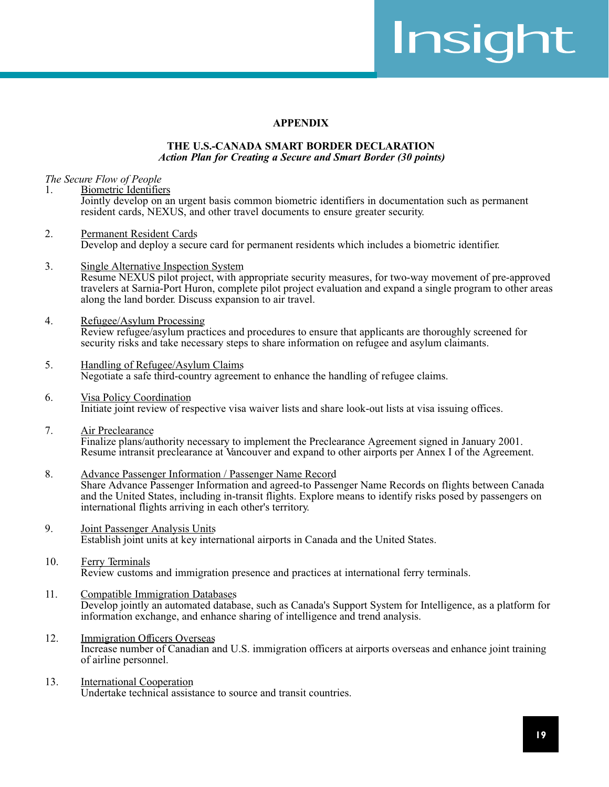### **APPENDIX**

#### **THE U.S.-CANADA SMART BORDER DECLARATION** *Action Plan for Creating a Secure and Smart Border (30 points)*

#### *The Secure Flow of People*

- 1. Biometric Identifiers Jointly develop on an urgent basis common biometric identifiers in documentation such as permanent resident cards, NEXUS, and other travel documents to ensure greater security.
- 2. Permanent Resident Cards Develop and deploy a secure card for permanent residents which includes a biometric identifier.
- 3. Single Alternative Inspection System Resume NEXUS pilot project, with appropriate security measures, for two-way movement of pre-approved travelers at Sarnia-Port Huron, complete pilot project evaluation and expand a single program to other areas along the land border. Discuss expansion to air travel.
- 4. Refugee/Asylum Processing Review refugee/asylum practices and procedures to ensure that applicants are thoroughly screened for security risks and take necessary steps to share information on refugee and asylum claimants.
- 5. Handling of Refugee/Asylum Claims Negotiate a safe third-country agreement to enhance the handling of refugee claims.
- 6. Visa Policy Coordination Initiate joint review of respective visa waiver lists and share look-out lists at visa issuing offices.
- 7. Air Preclearance Finalize plans/authority necessary to implement the Preclearance Agreement signed in January 2001. Resume intransit preclearance at Vancouver and expand to other airports per Annex I of the Agreement.
- 8. Advance Passenger Information / Passenger Name Record Share Advance Passenger Information and agreed-to Passenger Name Records on flights between Canada and the United States, including in-transit flights. Explore means to identify risks posed by passengers on international flights arriving in each other's territory.
- 9. Joint Passenger Analysis Units Establish joint units at key international airports in Canada and the United States.
- 10. Ferry Terminals Review customs and immigration presence and practices at international ferry terminals.
- 11. Compatible Immigration Databases Develop jointly an automated database, such as Canada's Support System for Intelligence, as a platform for information exchange, and enhance sharing of intelligence and trend analysis.
- 12. Immigration Officers Overseas Increase number of Canadian and U.S. immigration officers at airports overseas and enhance joint training of airline personnel.
- 13. International Cooperation Undertake technical assistance to source and transit countries.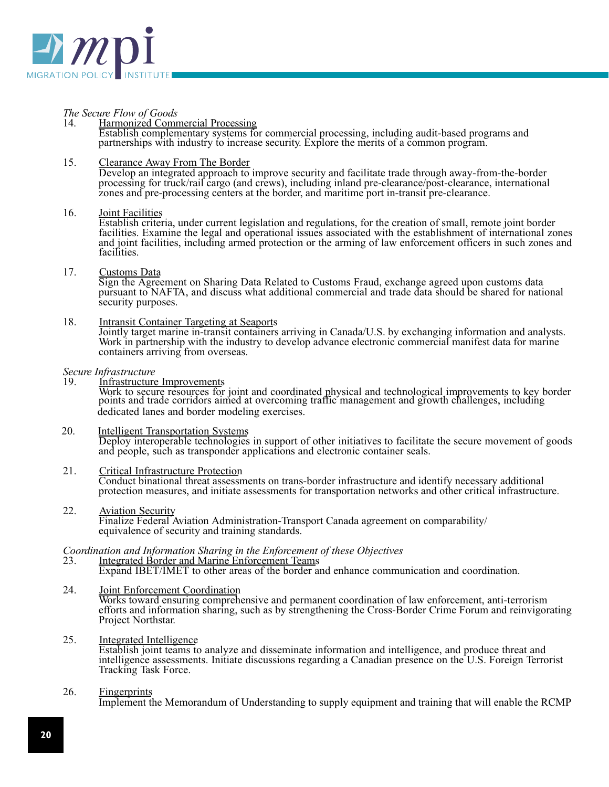

### *The Secure Flow of Goods*

14. Harmonized Commercial Processing Establish complementary systems for commercial processing, including audit-based programs and partnerships with industry to increase security. Explore the merits of a common program.

#### 15. Clearance Away From The Border

Develop an integrated approach to improve security and facilitate trade through away-from-the-border processing for truck/rail cargo (and crews), including inland pre-clearance/post-clearance, international zones and pre-processing centers at the border, and maritime port in-transit pre-clearance.

#### 16. Joint Facilities

Establish criteria, under current legislation and regulations, for the creation of small, remote joint border facilities. Examine the legal and operational issues associated with the establishment of international zones and joint facilities, including armed protection or the arming of law enforcement officers in such zones and facilities.

17. Customs Data

Sign the Agreement on Sharing Data Related to Customs Fraud, exchange agreed upon customs data pursuant to NAFTA, and discuss what additional commercial and trade data should be shared for national security purposes.

18. Intransit Container Targeting at Seaports

Jointly target marine in-transit containers arriving in Canada/U.S. by exchanging information and analysts. Work in partnership with the industry to develop advance electronic commercial manifest data for marine containers arriving from overseas.

### *Secure Infrastructure*

19. **Infrastructure Improvements** Work to secure resources for joint and coordinated physical and technological improvements to key border points and trade corridors aimed at overcoming traffic management and growth challenges, including dedicated lanes and border modeling exercises.

#### 20. Intelligent Transportation Systems Deploy interoperable technologies in support of other initiatives to facilitate the secure movement of goods and people, such as transponder applications and electronic container seals.

#### 21. Critical Infrastructure Protection Conduct binational threat assessments on trans-border infrastructure and identify necessary additional protection measures, and initiate assessments for transportation networks and other critical infrastructure.

22. Aviation Security Finalize Federal Aviation Administration-Transport Canada agreement on comparability/ equivalence of security and training standards.

### *Coordination and Information Sharing in the Enforcement of these Objectives*

- 23. Integrated Border and Marine Enforcement Teams Expand IBET/IMET to other areas of the border and enhance communication and coordination.
- 24. Joint Enforcement Coordination

Works toward ensuring comprehensive and permanent coordination of law enforcement, anti-terrorism efforts and information sharing, such as by strengthening the Cross-Border Crime Forum and reinvigorating Project Northstar.

25. Integrated Intelligence Establish joint teams to analyze and disseminate information and intelligence, and produce threat and intelligence assessments. Initiate discussions regarding a Canadian presence on the U.S. Foreign Terrorist Tracking Task Force.

#### 26. Fingerprints

Implement the Memorandum of Understanding to supply equipment and training that will enable the RCMP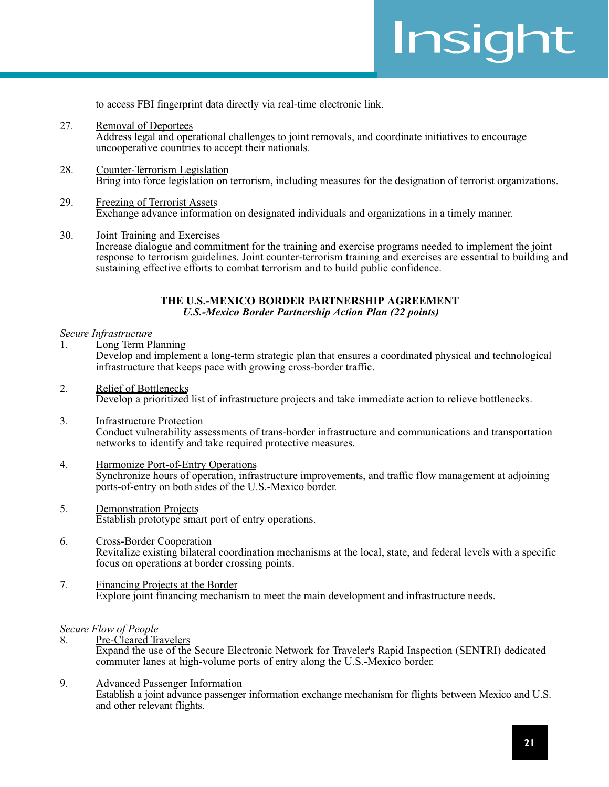to access FBI fingerprint data directly via real-time electronic link.

27. Removal of Deportees

Address legal and operational challenges to joint removals, and coordinate initiatives to encourage uncooperative countries to accept their nationals.

- 28. Counter-Terrorism Legislation Bring into force legislation on terrorism, including measures for the designation of terrorist organizations.
- 29. Freezing of Terrorist Assets Exchange advance information on designated individuals and organizations in a timely manner.
- 30. Joint Training and Exercises Increase dialogue and commitment for the training and exercise programs needed to implement the joint response to terrorism guidelines. Joint counter-terrorism training and exercises are essential to building and sustaining effective efforts to combat terrorism and to build public confidence.

#### **THE U.S.-MEXICO BORDER PARTNERSHIP AGREEMENT** *U.S.-Mexico Border Partnership Action Plan (22 points)*

### *Secure Infrastructure*

Long Term Planning

Develop and implement a long-term strategic plan that ensures a coordinated physical and technological infrastructure that keeps pace with growing cross-border traffic.

- 2. Relief of Bottlenecks Develop a prioritized list of infrastructure projects and take immediate action to relieve bottlenecks.
- 3. Infrastructure Protection Conduct vulnerability assessments of trans-border infrastructure and communications and transportation networks to identify and take required protective measures.
- 4. Harmonize Port-of-Entry Operations Synchronize hours of operation, infrastructure improvements, and traffic flow management at adjoining ports-of-entry on both sides of the U.S.-Mexico border.
- 5. Demonstration Projects Establish prototype smart port of entry operations.
- 6. Cross-Border Cooperation Revitalize existing bilateral coordination mechanisms at the local, state, and federal levels with a specific focus on operations at border crossing points.
- 7. Financing Projects at the Border Explore joint financing mechanism to meet the main development and infrastructure needs.

### *Secure Flow of People*

- Pre-Cleared Travelers Expand the use of the Secure Electronic Network for Traveler's Rapid Inspection (SENTRI) dedicated commuter lanes at high-volume ports of entry along the U.S.-Mexico border.
- 9. Advanced Passenger Information Establish a joint advance passenger information exchange mechanism for flights between Mexico and U.S. and other relevant flights.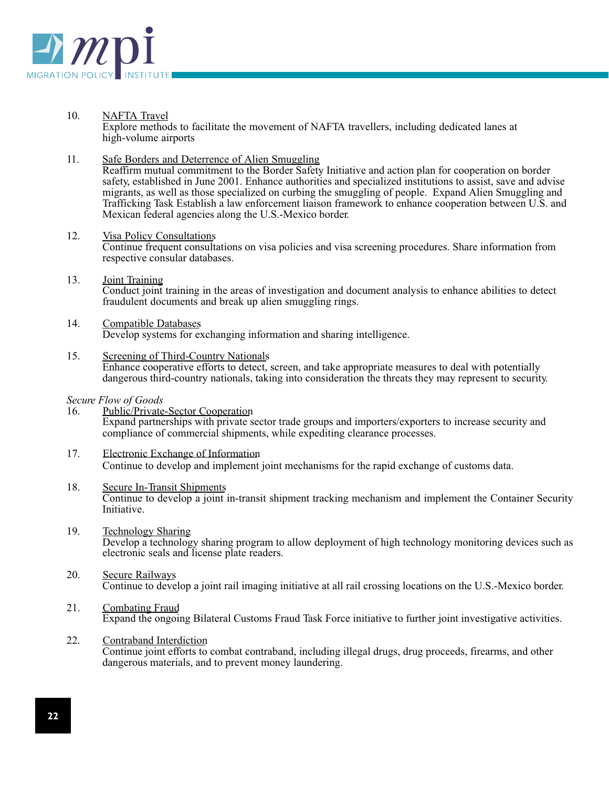

### 10. NAFTA Travel

Explore methods to facilitate the movement of NAFTA travellers, including dedicated lanes at high-volume airports

### 11. Safe Borders and Deterrence of Alien Smuggling

Reaffirm mutual commitment to the Border Safety Initiative and action plan for cooperation on border safety, established in June 2001. Enhance authorities and specialized institutions to assist, save and advise migrants, as well as those specialized on curbing the smuggling of people. Expand Alien Smuggling and Trafficking Task Establish a law enforcement liaison framework to enhance cooperation between U.S. and Mexican federal agencies along the U.S.-Mexico border.

#### 12. Visa Policy Consultations

Continue frequent consultations on visa policies and visa screening procedures. Share information from respective consular databases.

- 13. Joint Training Conduct joint training in the areas of investigation and document analysis to enhance abilities to detect fraudulent documents and break up alien smuggling rings.
- 14. Compatible Databases Develop systems for exchanging information and sharing intelligence.
- 15. Screening of Third-Country Nationals Enhance cooperative efforts to detect, screen, and take appropriate measures to deal with potentially dangerous third-country nationals, taking into consideration the threats they may represent to security.

### *Secure Flow of Goods*

- Public/Private-Sector Cooperation Expand partnerships with private sector trade groups and importers/exporters to increase security and compliance of commercial shipments, while expediting clearance processes.
- 17. Electronic Exchange of Information Continue to develop and implement joint mechanisms for the rapid exchange of customs data.
- 18. Secure In-Transit Shipments Continue to develop a joint in-transit shipment tracking mechanism and implement the Container Security Initiative.
- 19. Technology Sharing Develop a technology sharing program to allow deployment of high technology monitoring devices such as electronic seals and license plate readers.
- 20. Secure Railways Continue to develop a joint rail imaging initiative at all rail crossing locations on the U.S.-Mexico border.
- 21. Combating Fraud Expand the ongoing Bilateral Customs Fraud Task Force initiative to further joint investigative activities.
- 22. Contraband Interdiction Continue joint efforts to combat contraband, including illegal drugs, drug proceeds, firearms, and other dangerous materials, and to prevent money laundering.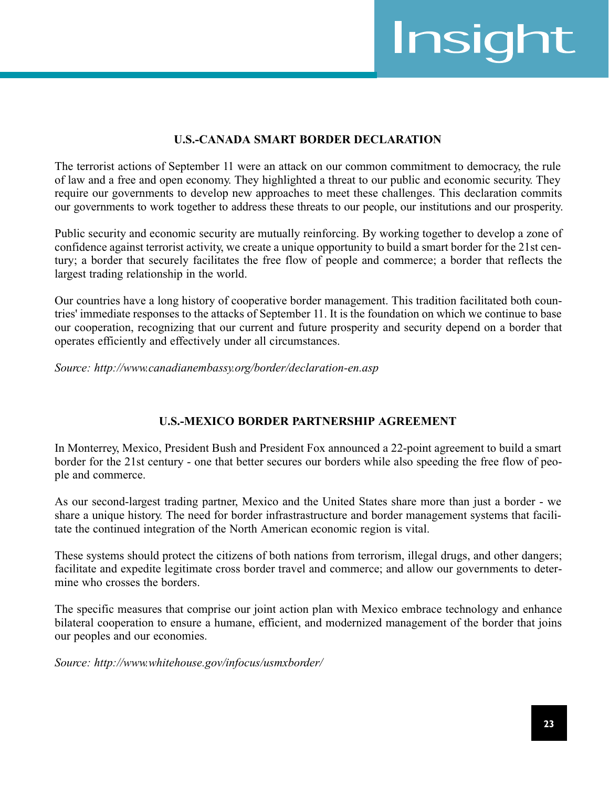### **U.S.-CANADA SMART BORDER DECLARATION**

The terrorist actions of September 11 were an attack on our common commitment to democracy, the rule of law and a free and open economy. They highlighted a threat to our public and economic security. They require our governments to develop new approaches to meet these challenges. This declaration commits our governments to work together to address these threats to our people, our institutions and our prosperity.

Public security and economic security are mutually reinforcing. By working together to develop a zone of confidence against terrorist activity, we create a unique opportunity to build a smart border for the 21st century; a border that securely facilitates the free flow of people and commerce; a border that reflects the largest trading relationship in the world.

Our countries have a long history of cooperative border management. This tradition facilitated both countries' immediate responses to the attacks of September 11. It is the foundation on which we continue to base our cooperation, recognizing that our current and future prosperity and security depend on a border that operates efficiently and effectively under all circumstances.

*Source: http://www.canadianembassy.org/border/declaration-en.asp*

### **U.S.-MEXICO BORDER PARTNERSHIP AGREEMENT**

In Monterrey, Mexico, President Bush and President Fox announced a 22-point agreement to build a smart border for the 21st century - one that better secures our borders while also speeding the free flow of people and commerce.

As our second-largest trading partner, Mexico and the United States share more than just a border - we share a unique history. The need for border infrastrastructure and border management systems that facilitate the continued integration of the North American economic region is vital.

These systems should protect the citizens of both nations from terrorism, illegal drugs, and other dangers; facilitate and expedite legitimate cross border travel and commerce; and allow our governments to determine who crosses the borders.

The specific measures that comprise our joint action plan with Mexico embrace technology and enhance bilateral cooperation to ensure a humane, efficient, and modernized management of the border that joins our peoples and our economies.

*Source: http://www.whitehouse.gov/infocus/usmxborder/*